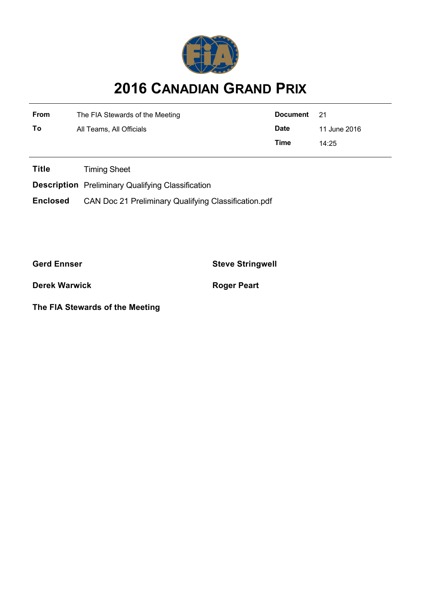

## **2016 CANADIAN GRAND PRIX**

| <b>From</b> | The FIA Stewards of the Meeting | Document    | - 21         |
|-------------|---------------------------------|-------------|--------------|
| To          | All Teams, All Officials        | <b>Date</b> | 11 June 2016 |
|             |                                 | Time        | 14:25        |

**Title** Timing Sheet

**Description** Preliminary Qualifying Classification

**Enclosed** CAN Doc 21 Preliminary Qualifying Classification.pdf

**Gerd Ennser Steve Stringwell**

**Derek Warwick Roger Peart** 

**The FIA Stewards of the Meeting**